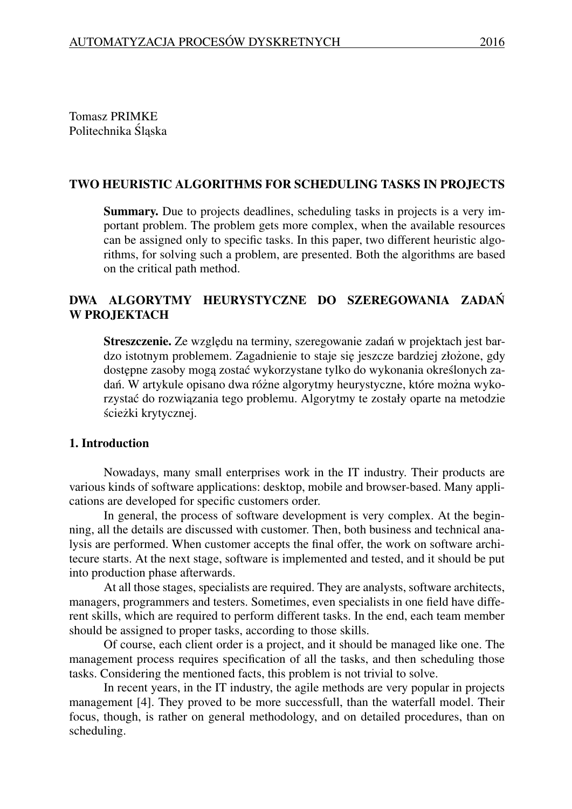Tomasz PRIMKE Politechnika Śląska

#### TWO HEURISTIC ALGORITHMS FOR SCHEDULING TASKS IN PROJECTS

Summary. Due to projects deadlines, scheduling tasks in projects is a very important problem. The problem gets more complex, when the available resources can be assigned only to specific tasks. In this paper, two different heuristic algorithms, for solving such a problem, are presented. Both the algorithms are based on the critical path method.

# DWA ALGORYTMY HEURYSTYCZNE DO SZEREGOWANIA ZADAN´ W PROJEKTACH

Streszczenie. Ze względu na terminy, szeregowanie zadań w projektach jest bardzo istotnym problemem. Zagadnienie to staje się jeszcze bardziej złożone, gdy dostępne zasoby mogą zostać wykorzystane tylko do wykonania określonych zadań. W artykule opisano dwa różne algorytmy heurystyczne, które można wykorzystać do rozwiązania tego problemu. Algorytmy te zostały oparte na metodzie ścieżki krytycznej.

### 1. Introduction

Nowadays, many small enterprises work in the IT industry. Their products are various kinds of software applications: desktop, mobile and browser-based. Many applications are developed for specific customers order.

In general, the process of software development is very complex. At the beginning, all the details are discussed with customer. Then, both business and technical analysis are performed. When customer accepts the final offer, the work on software architecure starts. At the next stage, software is implemented and tested, and it should be put into production phase afterwards.

At all those stages, specialists are required. They are analysts, software architects, managers, programmers and testers. Sometimes, even specialists in one field have different skills, which are required to perform different tasks. In the end, each team member should be assigned to proper tasks, according to those skills.

Of course, each client order is a project, and it should be managed like one. The management process requires specification of all the tasks, and then scheduling those tasks. Considering the mentioned facts, this problem is not trivial to solve.

In recent years, in the IT industry, the agile methods are very popular in projects management [4]. They proved to be more successfull, than the waterfall model. Their focus, though, is rather on general methodology, and on detailed procedures, than on scheduling.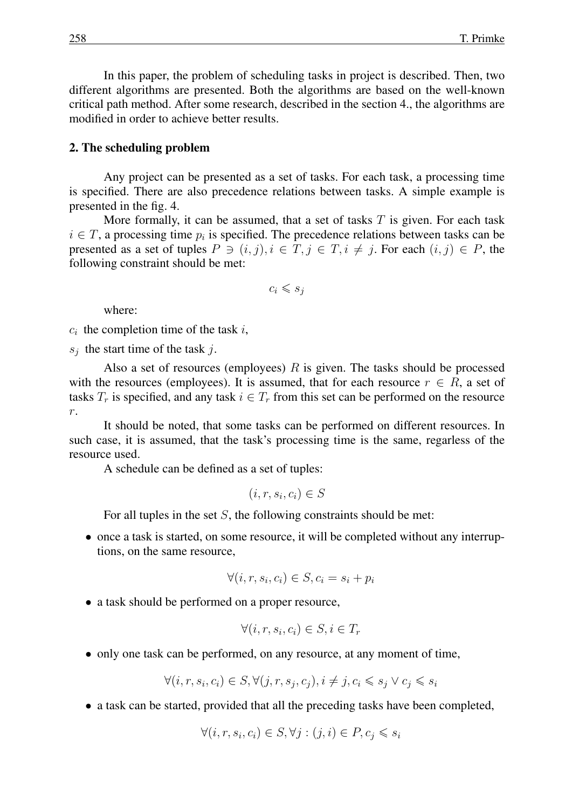In this paper, the problem of scheduling tasks in project is described. Then, two different algorithms are presented. Both the algorithms are based on the well-known critical path method. After some research, described in the section 4., the algorithms are modified in order to achieve better results.

#### 2. The scheduling problem

Any project can be presented as a set of tasks. For each task, a processing time is specified. There are also precedence relations between tasks. A simple example is presented in the fig. 4.

More formally, it can be assumed, that a set of tasks *T* is given. For each task  $i \in T$ , a processing time  $p_i$  is specified. The precedence relations between tasks can be presented as a set of tuples  $P \ni (i, j), i \in \overline{T}, j \in \overline{T}, i \neq j$ . For each  $(i, j) \in P$ , the following constraint should be met:

$$
c_i \leqslant s_j
$$

where:

 $c_i$  the completion time of the task  $i$ ,

*sj* the start time of the task *j*.

Also a set of resources (employees) *R* is given. The tasks should be processed with the resources (employees). It is assumed, that for each resource  $r \in R$ , a set of tasks  $T_r$  is specified, and any task  $i \in T_r$  from this set can be performed on the resource *r*.

It should be noted, that some tasks can be performed on different resources. In such case, it is assumed, that the task's processing time is the same, regarless of the resource used.

A schedule can be defined as a set of tuples:

$$
(i, r, s_i, c_i) \in S
$$

For all tuples in the set *S*, the following constraints should be met:

• once a task is started, on some resource, it will be completed without any interruptions, on the same resource,

$$
\forall (i, r, s_i, c_i) \in S, c_i = s_i + p_i
$$

• a task should be performed on a proper resource,

$$
\forall (i, r, s_i, c_i) \in S, i \in T_r
$$

• only one task can be performed, on any resource, at any moment of time,

$$
\forall (i, r, s_i, c_i) \in S, \forall (j, r, s_j, c_j), i \neq j, c_i \leq s_j \lor c_j \leq s_i
$$

• a task can be started, provided that all the preceding tasks have been completed,

$$
\forall (i, r, s_i, c_i) \in S, \forall j : (j, i) \in P, c_j \leq s_i
$$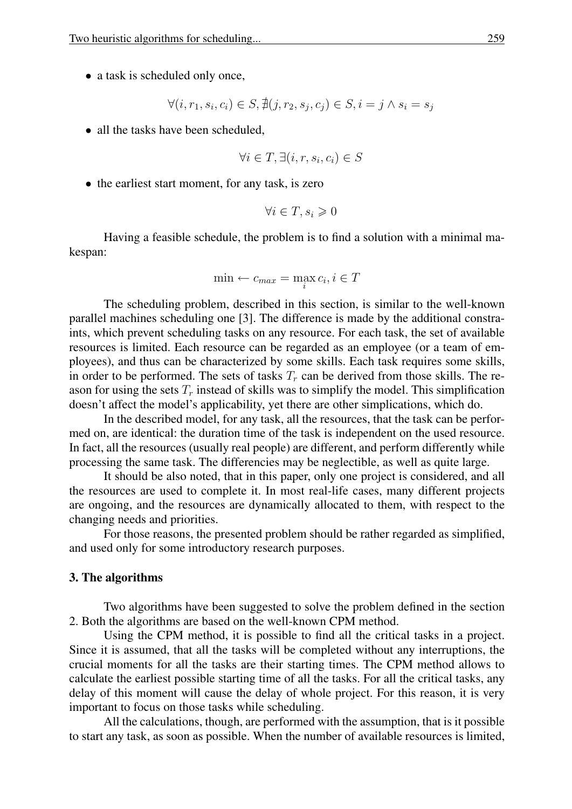• a task is scheduled only once,

$$
\forall (i, r_1, s_i, c_i) \in S, \nexists (j, r_2, s_j, c_j) \in S, i = j \land s_i = s_j
$$

• all the tasks have been scheduled,

$$
\forall i \in T, \exists (i, r, s_i, c_i) \in S
$$

• the earliest start moment, for any task, is zero

$$
\forall i \in T, s_i \geq 0
$$

Having a feasible schedule, the problem is to find a solution with a minimal makespan:

$$
\min \leftarrow c_{max} = \max_i c_i, i \in T
$$

The scheduling problem, described in this section, is similar to the well-known parallel machines scheduling one [3]. The difference is made by the additional constraints, which prevent scheduling tasks on any resource. For each task, the set of available resources is limited. Each resource can be regarded as an employee (or a team of employees), and thus can be characterized by some skills. Each task requires some skills, in order to be performed. The sets of tasks  $T_r$  can be derived from those skills. The reason for using the sets  $T_r$  instead of skills was to simplify the model. This simplification doesn't affect the model's applicability, yet there are other simplications, which do.

In the described model, for any task, all the resources, that the task can be performed on, are identical: the duration time of the task is independent on the used resource. In fact, all the resources (usually real people) are different, and perform differently while processing the same task. The differencies may be neglectible, as well as quite large.

It should be also noted, that in this paper, only one project is considered, and all the resources are used to complete it. In most real-life cases, many different projects are ongoing, and the resources are dynamically allocated to them, with respect to the changing needs and priorities.

For those reasons, the presented problem should be rather regarded as simplified, and used only for some introductory research purposes.

#### 3. The algorithms

Two algorithms have been suggested to solve the problem defined in the section 2. Both the algorithms are based on the well-known CPM method.

Using the CPM method, it is possible to find all the critical tasks in a project. Since it is assumed, that all the tasks will be completed without any interruptions, the crucial moments for all the tasks are their starting times. The CPM method allows to calculate the earliest possible starting time of all the tasks. For all the critical tasks, any delay of this moment will cause the delay of whole project. For this reason, it is very important to focus on those tasks while scheduling.

All the calculations, though, are performed with the assumption, that is it possible to start any task, as soon as possible. When the number of available resources is limited,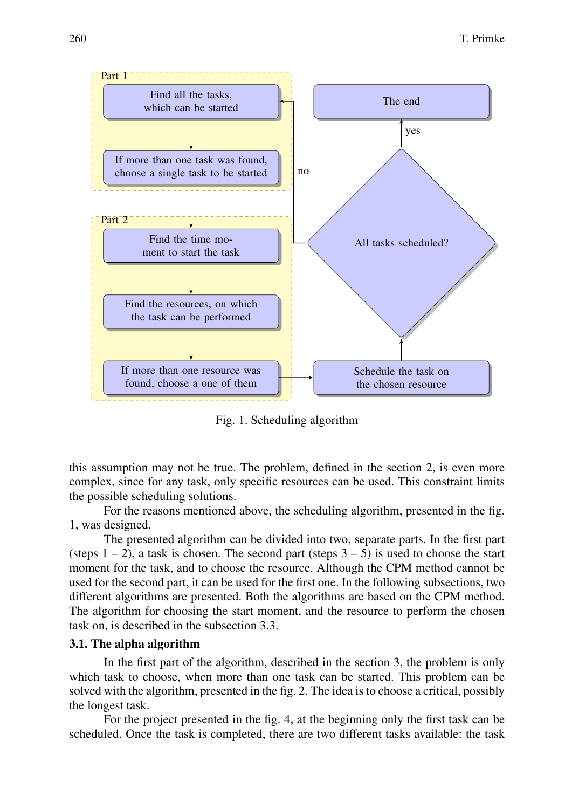

Fig. 1. Scheduling algorithm

this assumption may not be true. The problem, defined in the section 2, is even more complex, since for any task, only specific resources can be used. This constraint limits the possible scheduling solutions.

For the reasons mentioned above, the scheduling algorithm, presented in the fig. 1, was designed.

The presented algorithm can be divided into two, separate parts. In the first part (steps  $1 - 2$ ), a task is chosen. The second part (steps  $3 - 5$ ) is used to choose the start moment for the task, and to choose the resource. Although the CPM method cannot be used for the second part, it can be used for the first one. In the following subsections, two different algorithms are presented. Both the algorithms are based on the CPM method. The algorithm for choosing the start moment, and the resource to perform the chosen task on, is described in the subsection 3.3.

#### 3.1. The alpha algorithm

In the first part of the algorithm, described in the section 3, the problem is only which task to choose, when more than one task can be started. This problem can be solved with the algorithm, presented in the fig. 2. The idea is to choose a critical, possibly the longest task.

For the project presented in the fig. 4, at the beginning only the first task can be scheduled. Once the task is completed, there are two different tasks available: the task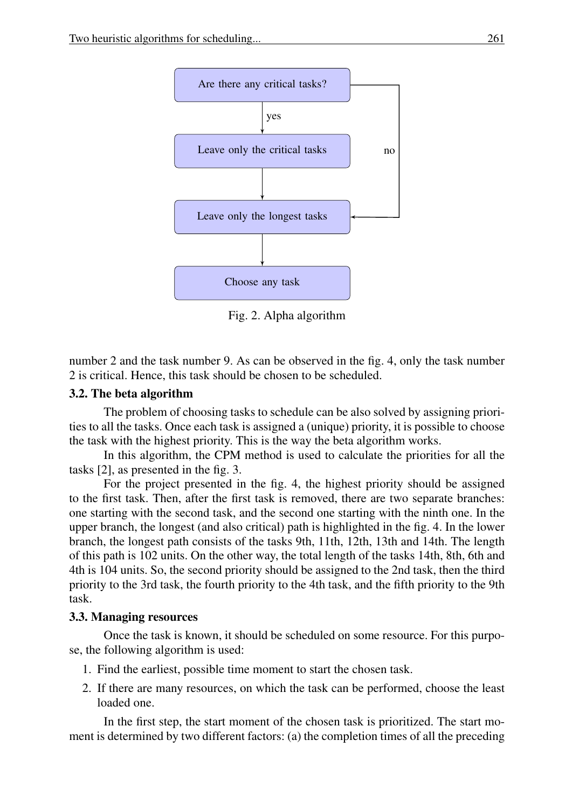

Fig. 2. Alpha algorithm

number 2 and the task number 9. As can be observed in the fig. 4, only the task number 2 is critical. Hence, this task should be chosen to be scheduled.

# 3.2. The beta algorithm

The problem of choosing tasks to schedule can be also solved by assigning priorities to all the tasks. Once each task is assigned a (unique) priority, it is possible to choose the task with the highest priority. This is the way the beta algorithm works.

In this algorithm, the CPM method is used to calculate the priorities for all the tasks [2], as presented in the fig. 3.

For the project presented in the fig. 4, the highest priority should be assigned to the first task. Then, after the first task is removed, there are two separate branches: one starting with the second task, and the second one starting with the ninth one. In the upper branch, the longest (and also critical) path is highlighted in the fig. 4. In the lower branch, the longest path consists of the tasks 9th, 11th, 12th, 13th and 14th. The length of this path is 102 units. On the other way, the total length of the tasks 14th, 8th, 6th and 4th is 104 units. So, the second priority should be assigned to the 2nd task, then the third priority to the 3rd task, the fourth priority to the 4th task, and the fifth priority to the 9th task.

### 3.3. Managing resources

Once the task is known, it should be scheduled on some resource. For this purpose, the following algorithm is used:

- 1. Find the earliest, possible time moment to start the chosen task.
- 2. If there are many resources, on which the task can be performed, choose the least loaded one.

In the first step, the start moment of the chosen task is prioritized. The start moment is determined by two different factors: (a) the completion times of all the preceding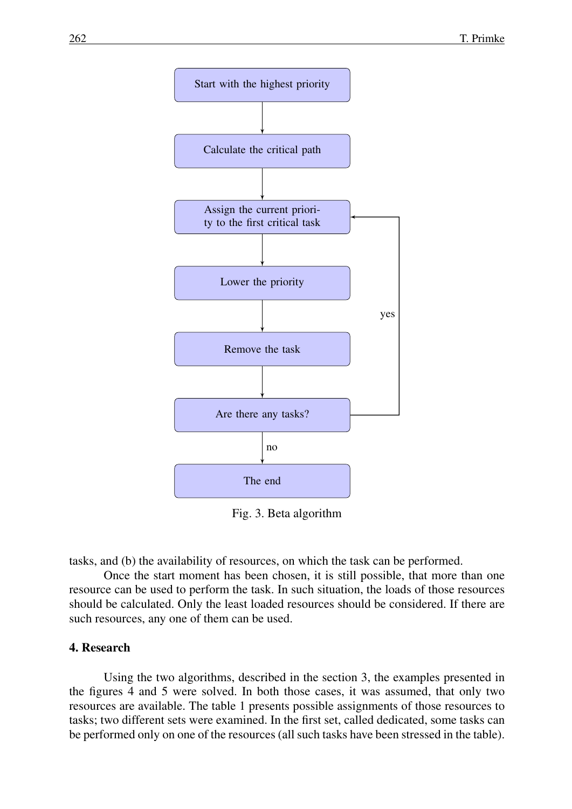

Fig. 3. Beta algorithm

tasks, and (b) the availability of resources, on which the task can be performed.

Once the start moment has been chosen, it is still possible, that more than one resource can be used to perform the task. In such situation, the loads of those resources should be calculated. Only the least loaded resources should be considered. If there are such resources, any one of them can be used.

### 4. Research

Using the two algorithms, described in the section 3, the examples presented in the figures 4 and 5 were solved. In both those cases, it was assumed, that only two resources are available. The table 1 presents possible assignments of those resources to tasks; two different sets were examined. In the first set, called dedicated, some tasks can be performed only on one of the resources (all such tasks have been stressed in the table).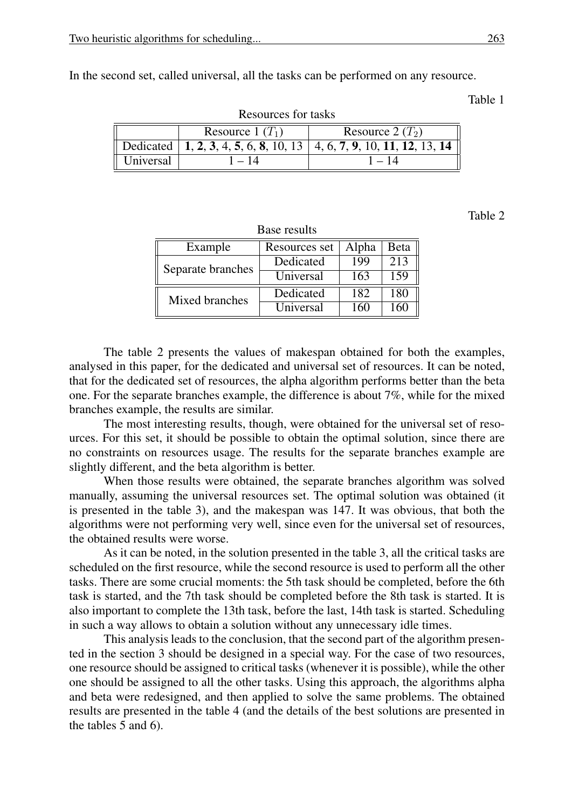In the second set, called universal, all the tasks can be performed on any resource.

Table 1

| Resources for tasks |                    |                                                                          |  |  |  |
|---------------------|--------------------|--------------------------------------------------------------------------|--|--|--|
|                     | Resource 1 $(T_1)$ | Resource $2(T_2)$                                                        |  |  |  |
|                     |                    | Dedicated   1, 2, 3, 4, 5, 6, 8, 10, 13   4, 6, 7, 9, 10, 11, 12, 13, 14 |  |  |  |
| Universal           | $-14$              | 1 – 14                                                                   |  |  |  |

 $\mathbf{D}$  consequences for the set of the set of the set of the set of the set of the set of the set of the set of the set of the set of the set of the set of the set of the set of the set of the set of the set of the set

Table 2

| Base results      |               |       |               |  |  |  |
|-------------------|---------------|-------|---------------|--|--|--|
| Example           | Resources set | Alpha | Beta          |  |  |  |
| Separate branches | Dedicated     | 199   | 213           |  |  |  |
|                   | Universal     | 163   | 159           |  |  |  |
| Mixed branches    | Dedicated     | 182   | 180           |  |  |  |
|                   | Universal     | 160   | $160^{\circ}$ |  |  |  |

The table 2 presents the values of makespan obtained for both the examples, analysed in this paper, for the dedicated and universal set of resources. It can be noted, that for the dedicated set of resources, the alpha algorithm performs better than the beta one. For the separate branches example, the difference is about 7%, while for the mixed branches example, the results are similar.

The most interesting results, though, were obtained for the universal set of resources. For this set, it should be possible to obtain the optimal solution, since there are no constraints on resources usage. The results for the separate branches example are slightly different, and the beta algorithm is better.

When those results were obtained, the separate branches algorithm was solved manually, assuming the universal resources set. The optimal solution was obtained (it is presented in the table 3), and the makespan was 147. It was obvious, that both the algorithms were not performing very well, since even for the universal set of resources, the obtained results were worse.

As it can be noted, in the solution presented in the table 3, all the critical tasks are scheduled on the first resource, while the second resource is used to perform all the other tasks. There are some crucial moments: the 5th task should be completed, before the 6th task is started, and the 7th task should be completed before the 8th task is started. It is also important to complete the 13th task, before the last, 14th task is started. Scheduling in such a way allows to obtain a solution without any unnecessary idle times.

This analysis leads to the conclusion, that the second part of the algorithm presented in the section 3 should be designed in a special way. For the case of two resources, one resource should be assigned to critical tasks (whenever it is possible), while the other one should be assigned to all the other tasks. Using this approach, the algorithms alpha and beta were redesigned, and then applied to solve the same problems. The obtained results are presented in the table 4 (and the details of the best solutions are presented in the tables 5 and 6).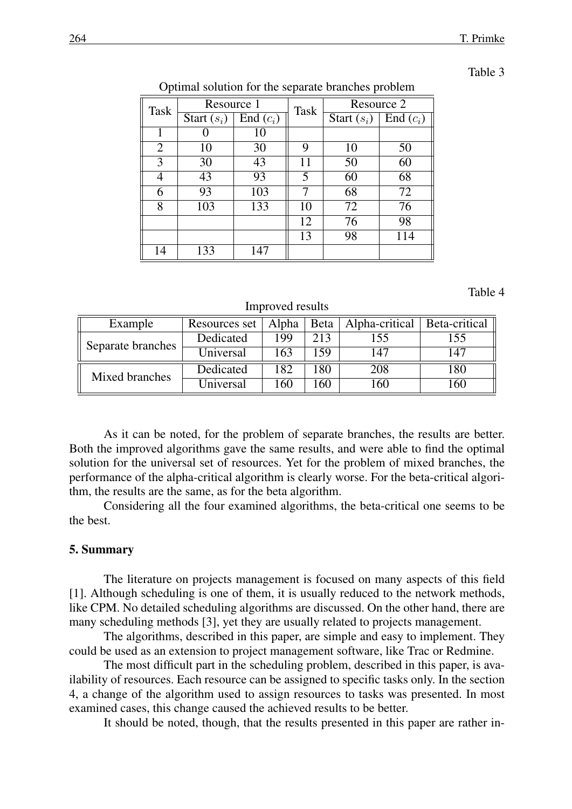| Fable |  |
|-------|--|
|-------|--|

| <b>Task</b> | Resource 1     |                                | <b>Task</b>                  | Resource 2 |               |             |  |  |
|-------------|----------------|--------------------------------|------------------------------|------------|---------------|-------------|--|--|
|             |                | $\overline{\text{Start}}(s_i)$ | $\overline{\text{End}}(c_i)$ |            | Start $(s_i)$ | End $(c_i)$ |  |  |
|             |                |                                | 10                           |            |               |             |  |  |
|             | $\overline{2}$ | 10                             | 30                           | 9          | 10            | 50          |  |  |
|             | 3              | 30                             | 43                           | 11         | 50            | 60          |  |  |
|             | 4              | 43                             | 93                           | 5          | 60            | 68          |  |  |
|             | 6              | 93                             | 103                          | 7          | 68            | 72          |  |  |
|             | 8              | 103                            | 133                          | 10         | 72            | 76          |  |  |
|             |                |                                |                              | 12         | 76            | 98          |  |  |
|             |                |                                |                              | 13         | 98            | 114         |  |  |
|             | 14             | 133                            | 147                          |            |               |             |  |  |

Optimal solution for the separate branches problem

#### Table 4

#### Improved results

| Example           | Resources set   Alpha |      |     | Beta   Alpha-critical   Beta-critical |     |
|-------------------|-----------------------|------|-----|---------------------------------------|-----|
| Separate branches | Dedicated             | 199  | 213 | 155                                   | 155 |
|                   | Universal             | 163  | 59  | 147                                   | 147 |
| Mixed branches    | Dedicated             | 182. | .80 | 208                                   | 180 |
|                   | Universal             | '60' | 60  | -60                                   | 160 |

As it can be noted, for the problem of separate branches, the results are better. Both the improved algorithms gave the same results, and were able to find the optimal solution for the universal set of resources. Yet for the problem of mixed branches, the performance of the alpha-critical algorithm is clearly worse. For the beta-critical algorithm, the results are the same, as for the beta algorithm.

Considering all the four examined algorithms, the beta-critical one seems to be the best.

#### 5. Summary

The literature on projects management is focused on many aspects of this field [1]. Although scheduling is one of them, it is usually reduced to the network methods, like CPM. No detailed scheduling algorithms are discussed. On the other hand, there are many scheduling methods [3], yet they are usually related to projects management.

The algorithms, described in this paper, are simple and easy to implement. They could be used as an extension to project management software, like Trac or Redmine.

The most difficult part in the scheduling problem, described in this paper, is availability of resources. Each resource can be assigned to specific tasks only. In the section 4, a change of the algorithm used to assign resources to tasks was presented. In most examined cases, this change caused the achieved results to be better.

It should be noted, though, that the results presented in this paper are rather in-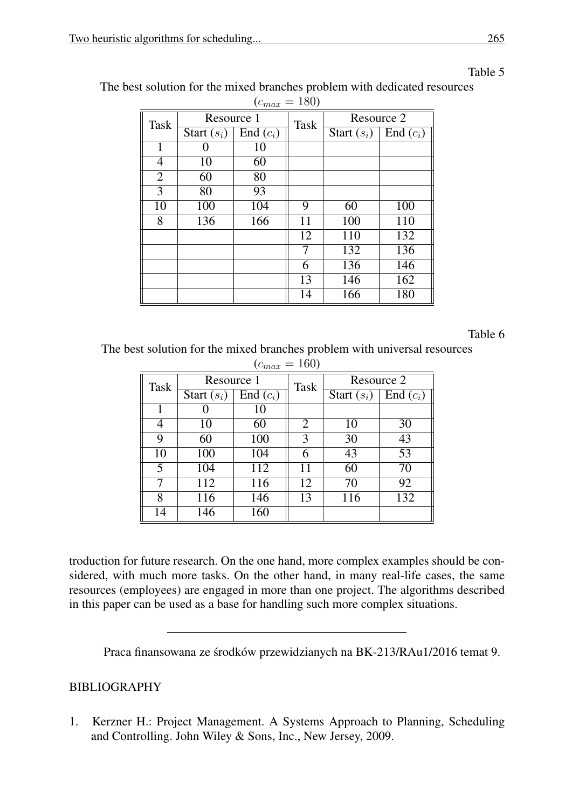| $\mu_{max} - 100$ |               |             |             |               |             |  |  |
|-------------------|---------------|-------------|-------------|---------------|-------------|--|--|
| Task              | Resource 1    |             | <b>Task</b> | Resource 2    |             |  |  |
|                   | Start $(s_i)$ | End $(c_i)$ |             | Start $(s_i)$ | End $(c_i)$ |  |  |
| 1                 |               | 10          |             |               |             |  |  |
| 4                 | 10            | 60          |             |               |             |  |  |
| $\overline{2}$    | 60            | 80          |             |               |             |  |  |
| 3                 | 80            | 93          |             |               |             |  |  |
| 10                | 100           | 104         | 9           | 60            | 100         |  |  |
| 8                 | 136           | 166         | 11          | 100           | 110         |  |  |
|                   |               |             | 12          | 110           | 132         |  |  |
|                   |               |             | 7           | 132           | 136         |  |  |
|                   |               |             | 6           | 136           | 146         |  |  |
|                   |               |             | 13          | 146           | 162         |  |  |
|                   |               |             | 14          | 166           | 180         |  |  |

# Table 5

The best solution for the mixed branches problem with dedicated resources  $(c = 180)$  $= 180$ 

# Table 6

The best solution for the mixed branches problem with universal resources  $(c - 160)$ 

| $(c_{max} = 100)$ |               |             |             |               |             |  |  |
|-------------------|---------------|-------------|-------------|---------------|-------------|--|--|
| <b>Task</b>       | Resource 1    |             | <b>Task</b> | Resource 2    |             |  |  |
|                   | Start $(s_i)$ | End $(c_i)$ |             | Start $(s_i)$ | End $(c_i)$ |  |  |
|                   |               | 10          |             |               |             |  |  |
| 4                 | 10            | 60          | 2           | 10            | 30          |  |  |
| 9                 | 60            | 100         | 3           | 30            | 43          |  |  |
| 10                | 100           | 104         | 6           | 43            | 53          |  |  |
| 5                 | 104           | 112         | 11          | 60            | 70          |  |  |
|                   | 112           | 116         | 12          | 70            | 92          |  |  |
| 8                 | 116           | 146         | 13          | 116           | 132         |  |  |
| 14                | 146           | 160         |             |               |             |  |  |

troduction for future research. On the one hand, more complex examples should be considered, with much more tasks. On the other hand, in many real-life cases, the same resources (employees) are engaged in more than one project. The algorithms described in this paper can be used as a base for handling such more complex situations.

Praca finansowana ze środków przewidzianych na BK-213/RAu1/2016 temat 9.

# BIBLIOGRAPHY

1. Kerzner H.: Project Management. A Systems Approach to Planning, Scheduling and Controlling. John Wiley & Sons, Inc., New Jersey, 2009.